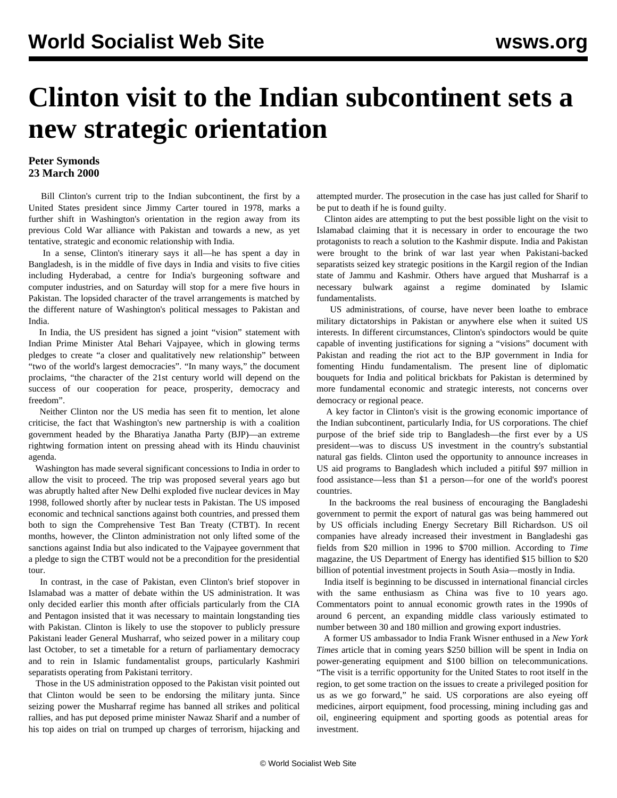## **Clinton visit to the Indian subcontinent sets a new strategic orientation**

## **Peter Symonds 23 March 2000**

 Bill Clinton's current trip to the Indian subcontinent, the first by a United States president since Jimmy Carter toured in 1978, marks a further shift in Washington's orientation in the region away from its previous Cold War alliance with Pakistan and towards a new, as yet tentative, strategic and economic relationship with India.

 In a sense, Clinton's itinerary says it all—he has spent a day in Bangladesh, is in the middle of five days in India and visits to five cities including Hyderabad, a centre for India's burgeoning software and computer industries, and on Saturday will stop for a mere five hours in Pakistan. The lopsided character of the travel arrangements is matched by the different nature of Washington's political messages to Pakistan and India.

 In India, the US president has signed a joint "vision" statement with Indian Prime Minister Atal Behari Vajpayee, which in glowing terms pledges to create "a closer and qualitatively new relationship" between "two of the world's largest democracies". "In many ways," the document proclaims, "the character of the 21st century world will depend on the success of our cooperation for peace, prosperity, democracy and freedom".

 Neither Clinton nor the US media has seen fit to mention, let alone criticise, the fact that Washington's new partnership is with a coalition government headed by the Bharatiya Janatha Party (BJP)—an extreme rightwing formation intent on pressing ahead with its Hindu chauvinist agenda.

 Washington has made several significant concessions to India in order to allow the visit to proceed. The trip was proposed several years ago but was abruptly halted after New Delhi exploded five nuclear devices in May 1998, followed shortly after by nuclear tests in Pakistan. The US imposed economic and technical sanctions against both countries, and pressed them both to sign the Comprehensive Test Ban Treaty (CTBT). In recent months, however, the Clinton administration not only lifted some of the sanctions against India but also indicated to the Vajpayee government that a pledge to sign the CTBT would not be a precondition for the presidential tour.

 In contrast, in the case of Pakistan, even Clinton's brief stopover in Islamabad was a matter of debate within the US administration. It was only decided earlier this month after officials particularly from the CIA and Pentagon insisted that it was necessary to maintain longstanding ties with Pakistan. Clinton is likely to use the stopover to publicly pressure Pakistani leader General Musharraf, who seized power in a military coup last October, to set a timetable for a return of parliamentary democracy and to rein in Islamic fundamentalist groups, particularly Kashmiri separatists operating from Pakistani territory.

 Those in the US administration opposed to the Pakistan visit pointed out that Clinton would be seen to be endorsing the military junta. Since seizing power the Musharraf regime has banned all strikes and political rallies, and has put deposed prime minister Nawaz Sharif and a number of his top aides on trial on trumped up charges of terrorism, hijacking and attempted murder. The prosecution in the case has just called for Sharif to be put to death if he is found guilty.

 Clinton aides are attempting to put the best possible light on the visit to Islamabad claiming that it is necessary in order to encourage the two protagonists to reach a solution to the Kashmir dispute. India and Pakistan were brought to the brink of war last year when Pakistani-backed separatists seized key strategic positions in the Kargil region of the Indian state of Jammu and Kashmir. Others have argued that Musharraf is a necessary bulwark against a regime dominated by Islamic fundamentalists.

 US administrations, of course, have never been loathe to embrace military dictatorships in Pakistan or anywhere else when it suited US interests. In different circumstances, Clinton's spindoctors would be quite capable of inventing justifications for signing a "visions" document with Pakistan and reading the riot act to the BJP government in India for fomenting Hindu fundamentalism. The present line of diplomatic bouquets for India and political brickbats for Pakistan is determined by more fundamental economic and strategic interests, not concerns over democracy or regional peace.

 A key factor in Clinton's visit is the growing economic importance of the Indian subcontinent, particularly India, for US corporations. The chief purpose of the brief side trip to Bangladesh—the first ever by a US president—was to discuss US investment in the country's substantial natural gas fields. Clinton used the opportunity to announce increases in US aid programs to Bangladesh which included a pitiful \$97 million in food assistance—less than \$1 a person—for one of the world's poorest countries.

 In the backrooms the real business of encouraging the Bangladeshi government to permit the export of natural gas was being hammered out by US officials including Energy Secretary Bill Richardson. US oil companies have already increased their investment in Bangladeshi gas fields from \$20 million in 1996 to \$700 million. According to *Time* magazine, the US Department of Energy has identified \$15 billion to \$20 billion of potential investment projects in South Asia—mostly in India.

 India itself is beginning to be discussed in international financial circles with the same enthusiasm as China was five to 10 years ago. Commentators point to annual economic growth rates in the 1990s of around 6 percent, an expanding middle class variously estimated to number between 30 and 180 million and growing export industries.

 A former US ambassador to India Frank Wisner enthused in a *New York Times* article that in coming years \$250 billion will be spent in India on power-generating equipment and \$100 billion on telecommunications. "The visit is a terrific opportunity for the United States to root itself in the region, to get some traction on the issues to create a privileged position for us as we go forward," he said. US corporations are also eyeing off medicines, airport equipment, food processing, mining including gas and oil, engineering equipment and sporting goods as potential areas for investment.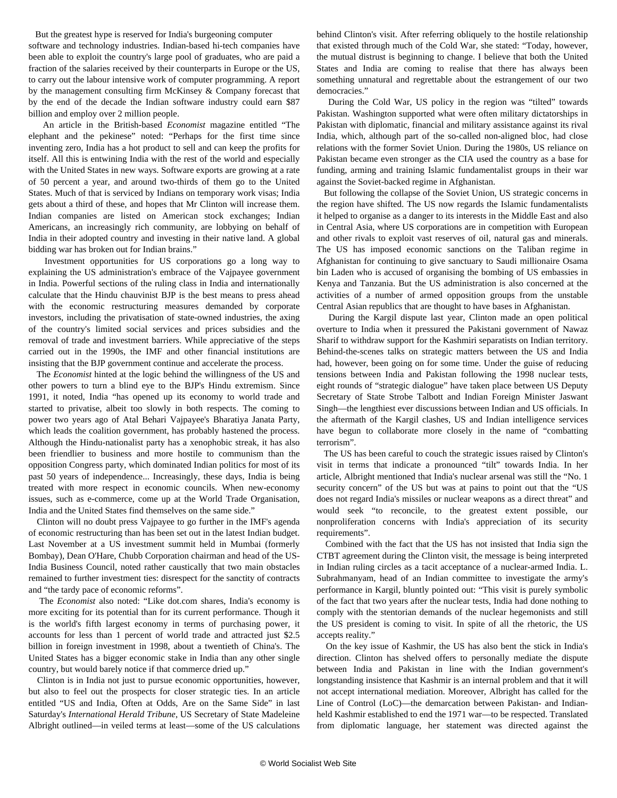But the greatest hype is reserved for India's burgeoning computer

software and technology industries. Indian-based hi-tech companies have been able to exploit the country's large pool of graduates, who are paid a fraction of the salaries received by their counterparts in Europe or the US, to carry out the labour intensive work of computer programming. A report by the management consulting firm McKinsey & Company forecast that by the end of the decade the Indian software industry could earn \$87 billion and employ over 2 million people.

 An article in the British-based *Economist* magazine entitled "The elephant and the pekinese" noted: "Perhaps for the first time since inventing zero, India has a hot product to sell and can keep the profits for itself. All this is entwining India with the rest of the world and especially with the United States in new ways. Software exports are growing at a rate of 50 percent a year, and around two-thirds of them go to the United States. Much of that is serviced by Indians on temporary work visas; India gets about a third of these, and hopes that Mr Clinton will increase them. Indian companies are listed on American stock exchanges; Indian Americans, an increasingly rich community, are lobbying on behalf of India in their adopted country and investing in their native land. A global bidding war has broken out for Indian brains."

 Investment opportunities for US corporations go a long way to explaining the US administration's embrace of the Vajpayee government in India. Powerful sections of the ruling class in India and internationally calculate that the Hindu chauvinist BJP is the best means to press ahead with the economic restructuring measures demanded by corporate investors, including the privatisation of state-owned industries, the axing of the country's limited social services and prices subsidies and the removal of trade and investment barriers. While appreciative of the steps carried out in the 1990s, the IMF and other financial institutions are insisting that the BJP government continue and accelerate the process.

 The *Economist* hinted at the logic behind the willingness of the US and other powers to turn a blind eye to the BJP's Hindu extremism. Since 1991, it noted, India "has opened up its economy to world trade and started to privatise, albeit too slowly in both respects. The coming to power two years ago of Atal Behari Vajpayee's Bharatiya Janata Party, which leads the coalition government, has probably hastened the process. Although the Hindu-nationalist party has a xenophobic streak, it has also been friendlier to business and more hostile to communism than the opposition Congress party, which dominated Indian politics for most of its past 50 years of independence... Increasingly, these days, India is being treated with more respect in economic councils. When new-economy issues, such as e-commerce, come up at the World Trade Organisation, India and the United States find themselves on the same side."

 Clinton will no doubt press Vajpayee to go further in the IMF's agenda of economic restructuring than has been set out in the latest Indian budget. Last November at a US investment summit held in Mumbai (formerly Bombay), Dean O'Hare, Chubb Corporation chairman and head of the US-India Business Council, noted rather caustically that two main obstacles remained to further investment ties: disrespect for the sanctity of contracts and "the tardy pace of economic reforms".

 The *Economist* also noted: "Like dot.com shares, India's economy is more exciting for its potential than for its current performance. Though it is the world's fifth largest economy in terms of purchasing power, it accounts for less than 1 percent of world trade and attracted just \$2.5 billion in foreign investment in 1998, about a twentieth of China's. The United States has a bigger economic stake in India than any other single country, but would barely notice if that commerce dried up."

 Clinton is in India not just to pursue economic opportunities, however, but also to feel out the prospects for closer strategic ties. In an article entitled "US and India, Often at Odds, Are on the Same Side" in last Saturday's *International Herald Tribune*, US Secretary of State Madeleine Albright outlined—in veiled terms at least—some of the US calculations

behind Clinton's visit. After referring obliquely to the hostile relationship that existed through much of the Cold War, she stated: "Today, however, the mutual distrust is beginning to change. I believe that both the United States and India are coming to realise that there has always been something unnatural and regrettable about the estrangement of our two democracies."

 During the Cold War, US policy in the region was "tilted" towards Pakistan. Washington supported what were often military dictatorships in Pakistan with diplomatic, financial and military assistance against its rival India, which, although part of the so-called non-aligned bloc, had close relations with the former Soviet Union. During the 1980s, US reliance on Pakistan became even stronger as the CIA used the country as a base for funding, arming and training Islamic fundamentalist groups in their war against the Soviet-backed regime in Afghanistan.

 But following the collapse of the Soviet Union, US strategic concerns in the region have shifted. The US now regards the Islamic fundamentalists it helped to organise as a danger to its interests in the Middle East and also in Central Asia, where US corporations are in competition with European and other rivals to exploit vast reserves of oil, natural gas and minerals. The US has imposed economic sanctions on the Taliban regime in Afghanistan for continuing to give sanctuary to Saudi millionaire Osama bin Laden who is accused of organising the bombing of US embassies in Kenya and Tanzania. But the US administration is also concerned at the activities of a number of armed opposition groups from the unstable Central Asian republics that are thought to have bases in Afghanistan.

 During the Kargil dispute last year, Clinton made an open political overture to India when it pressured the Pakistani government of Nawaz Sharif to withdraw support for the Kashmiri separatists on Indian territory. Behind-the-scenes talks on strategic matters between the US and India had, however, been going on for some time. Under the guise of reducing tensions between India and Pakistan following the 1998 nuclear tests, eight rounds of "strategic dialogue" have taken place between US Deputy Secretary of State Strobe Talbott and Indian Foreign Minister Jaswant Singh—the lengthiest ever discussions between Indian and US officials. In the aftermath of the Kargil clashes, US and Indian intelligence services have begun to collaborate more closely in the name of "combatting terrorism".

 The US has been careful to couch the strategic issues raised by Clinton's visit in terms that indicate a pronounced "tilt" towards India. In her article, Albright mentioned that India's nuclear arsenal was still the "No. 1 security concern" of the US but was at pains to point out that the "US does not regard India's missiles or nuclear weapons as a direct threat" and would seek "to reconcile, to the greatest extent possible, our nonproliferation concerns with India's appreciation of its security requirements".

 Combined with the fact that the US has not insisted that India sign the CTBT agreement during the Clinton visit, the message is being interpreted in Indian ruling circles as a tacit acceptance of a nuclear-armed India. L. Subrahmanyam, head of an Indian committee to investigate the army's performance in Kargil, bluntly pointed out: "This visit is purely symbolic of the fact that two years after the nuclear tests, India had done nothing to comply with the stentorian demands of the nuclear hegemonists and still the US president is coming to visit. In spite of all the rhetoric, the US accepts reality."

 On the key issue of Kashmir, the US has also bent the stick in India's direction. Clinton has shelved offers to personally mediate the dispute between India and Pakistan in line with the Indian government's longstanding insistence that Kashmir is an internal problem and that it will not accept international mediation. Moreover, Albright has called for the Line of Control (LoC)—the demarcation between Pakistan- and Indianheld Kashmir established to end the 1971 war—to be respected. Translated from diplomatic language, her statement was directed against the